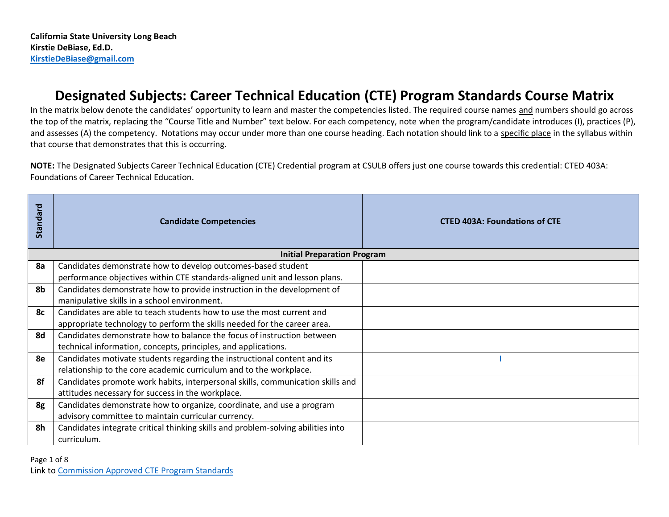# **Designated Subjects: Career Technical Education (CTE) Program Standards Course Matrix**

In the matrix below denote the candidates' opportunity to learn and master the competencies listed. The required course names and numbers should go across the top of the matrix, replacing the "Course Title and Number" text below. For each competency, note when the program/candidate introduces (I), practices (P), and assesses (A) the competency. Notations may occur under more than one course heading. Each notation should link to a specific place in the syllabus within that course that demonstrates that this is occurring.

**NOTE:** The Designated Subjects Career Technical Education (CTE) Credential program at CSULB offers just one course towards this credential: CTED 403A: Foundations of Career Technical Education.

| Standard | <b>Candidate Competencies</b>                                                    | <b>CTED 403A: Foundations of CTE</b> |
|----------|----------------------------------------------------------------------------------|--------------------------------------|
|          | <b>Initial Preparation Program</b>                                               |                                      |
| 8a       | Candidates demonstrate how to develop outcomes-based student                     |                                      |
|          | performance objectives within CTE standards-aligned unit and lesson plans.       |                                      |
| 8b       | Candidates demonstrate how to provide instruction in the development of          |                                      |
|          | manipulative skills in a school environment.                                     |                                      |
| 8с       | Candidates are able to teach students how to use the most current and            |                                      |
|          | appropriate technology to perform the skills needed for the career area.         |                                      |
| 8d       | Candidates demonstrate how to balance the focus of instruction between           |                                      |
|          | technical information, concepts, principles, and applications.                   |                                      |
| 8e       | Candidates motivate students regarding the instructional content and its         |                                      |
|          | relationship to the core academic curriculum and to the workplace.               |                                      |
| 8f       | Candidates promote work habits, interpersonal skills, communication skills and   |                                      |
|          | attitudes necessary for success in the workplace.                                |                                      |
| 8g       | Candidates demonstrate how to organize, coordinate, and use a program            |                                      |
|          | advisory committee to maintain curricular currency.                              |                                      |
| 8h       | Candidates integrate critical thinking skills and problem-solving abilities into |                                      |
|          | curriculum.                                                                      |                                      |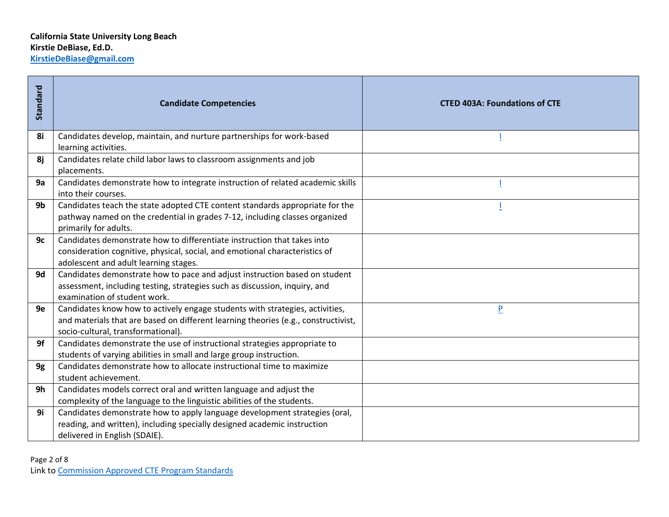| Standard    | <b>Candidate Competencies</b>                                                                                                                                                                            | <b>CTED 403A: Foundations of CTE</b> |
|-------------|----------------------------------------------------------------------------------------------------------------------------------------------------------------------------------------------------------|--------------------------------------|
| 8i          | Candidates develop, maintain, and nurture partnerships for work-based<br>learning activities.                                                                                                            |                                      |
| 8j          | Candidates relate child labor laws to classroom assignments and job<br>placements.                                                                                                                       |                                      |
| 9a          | Candidates demonstrate how to integrate instruction of related academic skills<br>into their courses.                                                                                                    |                                      |
| 9b          | Candidates teach the state adopted CTE content standards appropriate for the<br>pathway named on the credential in grades 7-12, including classes organized<br>primarily for adults.                     |                                      |
| 9c          | Candidates demonstrate how to differentiate instruction that takes into<br>consideration cognitive, physical, social, and emotional characteristics of<br>adolescent and adult learning stages.          |                                      |
| 9d          | Candidates demonstrate how to pace and adjust instruction based on student<br>assessment, including testing, strategies such as discussion, inquiry, and<br>examination of student work.                 |                                      |
| 9e          | Candidates know how to actively engage students with strategies, activities,<br>and materials that are based on different learning theories (e.g., constructivist,<br>socio-cultural, transformational). | $\overline{P}$                       |
| 9f          | Candidates demonstrate the use of instructional strategies appropriate to<br>students of varying abilities in small and large group instruction.                                                         |                                      |
| 9g          | Candidates demonstrate how to allocate instructional time to maximize<br>student achievement.                                                                                                            |                                      |
| 9h          | Candidates models correct oral and written language and adjust the<br>complexity of the language to the linguistic abilities of the students.                                                            |                                      |
| 9i          | Candidates demonstrate how to apply language development strategies (oral,<br>reading, and written), including specially designed academic instruction<br>delivered in English (SDAIE).                  |                                      |
| Page 2 of 8 | Link to Commission Approved CTE Program Standards                                                                                                                                                        |                                      |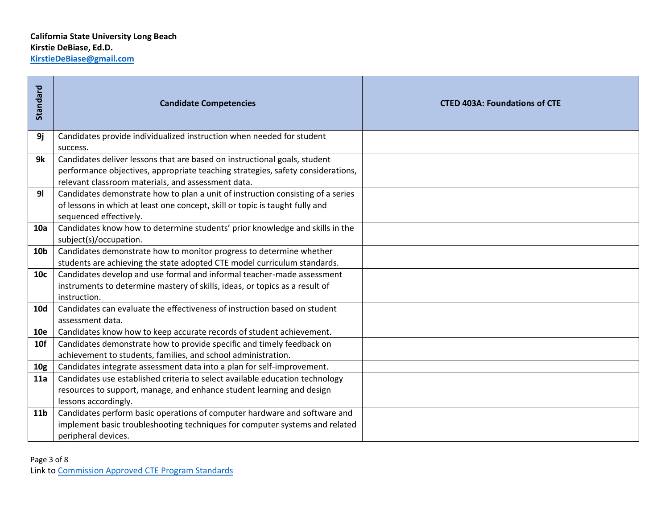| Standard        | <b>Candidate Competencies</b>                                                                                                                                                                                      | <b>CTED 403A: Foundations of CTE</b> |
|-----------------|--------------------------------------------------------------------------------------------------------------------------------------------------------------------------------------------------------------------|--------------------------------------|
| 9j              | Candidates provide individualized instruction when needed for student<br>success.                                                                                                                                  |                                      |
| 9k              | Candidates deliver lessons that are based on instructional goals, student<br>performance objectives, appropriate teaching strategies, safety considerations,<br>relevant classroom materials, and assessment data. |                                      |
| 9 <sub>l</sub>  | Candidates demonstrate how to plan a unit of instruction consisting of a series<br>of lessons in which at least one concept, skill or topic is taught fully and<br>sequenced effectively.                          |                                      |
| 10a             | Candidates know how to determine students' prior knowledge and skills in the<br>subject(s)/occupation.                                                                                                             |                                      |
| 10 <sub>b</sub> | Candidates demonstrate how to monitor progress to determine whether<br>students are achieving the state adopted CTE model curriculum standards.                                                                    |                                      |
| 10 <sub>c</sub> | Candidates develop and use formal and informal teacher-made assessment<br>instruments to determine mastery of skills, ideas, or topics as a result of<br>instruction.                                              |                                      |
| <b>10d</b>      | Candidates can evaluate the effectiveness of instruction based on student<br>assessment data.                                                                                                                      |                                      |
| <b>10e</b>      | Candidates know how to keep accurate records of student achievement.                                                                                                                                               |                                      |
| 10f             | Candidates demonstrate how to provide specific and timely feedback on<br>achievement to students, families, and school administration.                                                                             |                                      |
| 10 <sub>g</sub> | Candidates integrate assessment data into a plan for self-improvement.                                                                                                                                             |                                      |
| 11a             | Candidates use established criteria to select available education technology<br>resources to support, manage, and enhance student learning and design<br>lessons accordingly.                                      |                                      |
| 11 <sub>b</sub> | Candidates perform basic operations of computer hardware and software and<br>implement basic troubleshooting techniques for computer systems and related<br>peripheral devices.                                    |                                      |
| Page 3 of 8     | Link to Commission Approved CTE Program Standards                                                                                                                                                                  |                                      |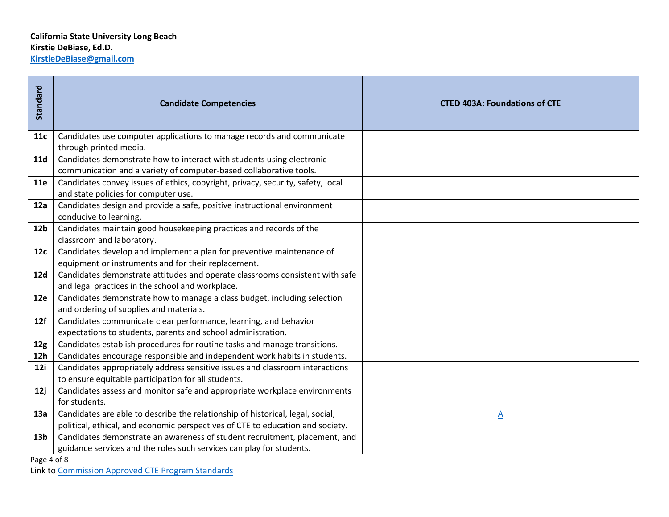| Standard        | <b>Candidate Competencies</b>                                                                                                               | <b>CTED 403A: Foundations of CTE</b> |
|-----------------|---------------------------------------------------------------------------------------------------------------------------------------------|--------------------------------------|
| 11c             | Candidates use computer applications to manage records and communicate<br>through printed media.                                            |                                      |
| <b>11d</b>      | Candidates demonstrate how to interact with students using electronic<br>communication and a variety of computer-based collaborative tools. |                                      |
| 11e             | Candidates convey issues of ethics, copyright, privacy, security, safety, local<br>and state policies for computer use.                     |                                      |
| 12a             | Candidates design and provide a safe, positive instructional environment<br>conducive to learning.                                          |                                      |
| 12 <sub>b</sub> | Candidates maintain good housekeeping practices and records of the<br>classroom and laboratory.                                             |                                      |
| 12c             | Candidates develop and implement a plan for preventive maintenance of<br>equipment or instruments and for their replacement.                |                                      |
| 12d             | Candidates demonstrate attitudes and operate classrooms consistent with safe<br>and legal practices in the school and workplace.            |                                      |
| <b>12e</b>      | Candidates demonstrate how to manage a class budget, including selection<br>and ordering of supplies and materials.                         |                                      |
| 12f             | Candidates communicate clear performance, learning, and behavior<br>expectations to students, parents and school administration.            |                                      |
| 12 <sub>g</sub> | Candidates establish procedures for routine tasks and manage transitions.                                                                   |                                      |
| 12h             | Candidates encourage responsible and independent work habits in students.                                                                   |                                      |
| 12i             | Candidates appropriately address sensitive issues and classroom interactions                                                                |                                      |
|                 | to ensure equitable participation for all students.                                                                                         |                                      |
| 12j             | Candidates assess and monitor safe and appropriate workplace environments                                                                   |                                      |
|                 | for students.<br>Candidates are able to describe the relationship of historical, legal, social,                                             |                                      |
| 13a             | political, ethical, and economic perspectives of CTE to education and society.                                                              | $\underline{A}$                      |
| 13 <sub>b</sub> | Candidates demonstrate an awareness of student recruitment, placement, and                                                                  |                                      |
|                 | guidance services and the roles such services can play for students.                                                                        |                                      |
| Page 4 of 8     |                                                                                                                                             |                                      |
|                 | Link to Commission Approved CTE Program Standards                                                                                           |                                      |

Page 4 of 8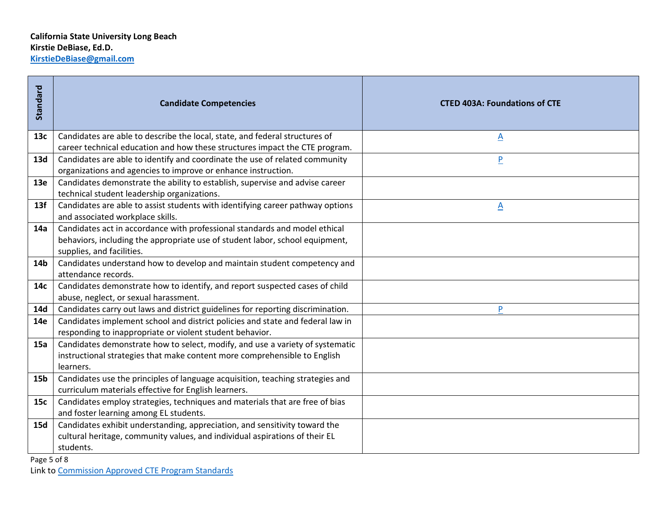| Standard        | <b>Candidate Competencies</b>                                                   | <b>CTED 403A: Foundations of CTE</b> |
|-----------------|---------------------------------------------------------------------------------|--------------------------------------|
| 13c             | Candidates are able to describe the local, state, and federal structures of     | <u>A</u>                             |
|                 | career technical education and how these structures impact the CTE program.     |                                      |
| 13d             | Candidates are able to identify and coordinate the use of related community     | $\overline{P}$                       |
|                 | organizations and agencies to improve or enhance instruction.                   |                                      |
| <b>13e</b>      | Candidates demonstrate the ability to establish, supervise and advise career    |                                      |
|                 | technical student leadership organizations.                                     |                                      |
| 13f             | Candidates are able to assist students with identifying career pathway options  | $\underline{A}$                      |
|                 | and associated workplace skills.                                                |                                      |
| 14a             | Candidates act in accordance with professional standards and model ethical      |                                      |
|                 | behaviors, including the appropriate use of student labor, school equipment,    |                                      |
|                 | supplies, and facilities.                                                       |                                      |
| 14b             | Candidates understand how to develop and maintain student competency and        |                                      |
|                 | attendance records.                                                             |                                      |
| 14с             | Candidates demonstrate how to identify, and report suspected cases of child     |                                      |
|                 | abuse, neglect, or sexual harassment.                                           |                                      |
| 14d             | Candidates carry out laws and district guidelines for reporting discrimination. | P                                    |
| 14e             | Candidates implement school and district policies and state and federal law in  |                                      |
|                 | responding to inappropriate or violent student behavior.                        |                                      |
| <b>15a</b>      | Candidates demonstrate how to select, modify, and use a variety of systematic   |                                      |
|                 | instructional strategies that make content more comprehensible to English       |                                      |
|                 | learners.                                                                       |                                      |
| 15 <sub>b</sub> | Candidates use the principles of language acquisition, teaching strategies and  |                                      |
|                 | curriculum materials effective for English learners.                            |                                      |
| 15c             | Candidates employ strategies, techniques and materials that are free of bias    |                                      |
|                 | and foster learning among EL students.                                          |                                      |
| 15d             | Candidates exhibit understanding, appreciation, and sensitivity toward the      |                                      |
|                 | cultural heritage, community values, and individual aspirations of their EL     |                                      |
|                 | students.                                                                       |                                      |
| Page 5 of 8     |                                                                                 |                                      |
|                 | Link to Commission Approved CTE Program Standards                               |                                      |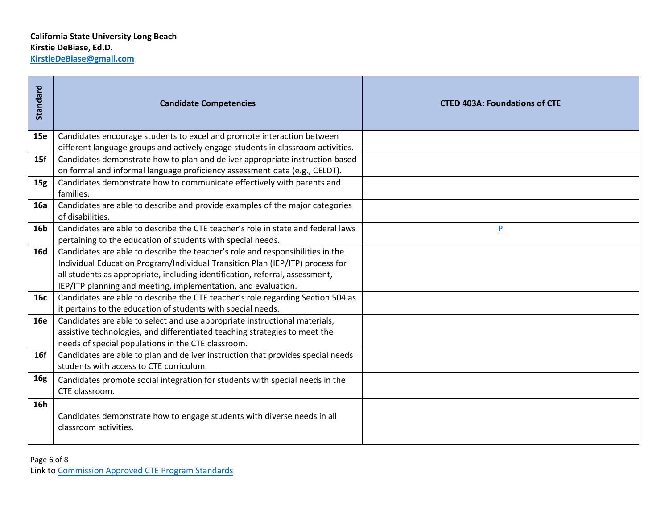| Standard   | <b>Candidate Competencies</b>                                                    | <b>CTED 403A: Foundations of CTE</b> |  |
|------------|----------------------------------------------------------------------------------|--------------------------------------|--|
| <b>15e</b> | Candidates encourage students to excel and promote interaction between           |                                      |  |
|            | different language groups and actively engage students in classroom activities.  |                                      |  |
| 15f        | Candidates demonstrate how to plan and deliver appropriate instruction based     |                                      |  |
|            | on formal and informal language proficiency assessment data (e.g., CELDT).       |                                      |  |
| 15g        | Candidates demonstrate how to communicate effectively with parents and           |                                      |  |
|            | families.                                                                        |                                      |  |
| <b>16a</b> | Candidates are able to describe and provide examples of the major categories     |                                      |  |
|            | of disabilities.                                                                 |                                      |  |
| <b>16b</b> | Candidates are able to describe the CTE teacher's role in state and federal laws | P                                    |  |
|            | pertaining to the education of students with special needs.                      |                                      |  |
| <b>16d</b> | Candidates are able to describe the teacher's role and responsibilities in the   |                                      |  |
|            | Individual Education Program/Individual Transition Plan (IEP/ITP) process for    |                                      |  |
|            | all students as appropriate, including identification, referral, assessment,     |                                      |  |
|            | IEP/ITP planning and meeting, implementation, and evaluation.                    |                                      |  |
| 16с        | Candidates are able to describe the CTE teacher's role regarding Section 504 as  |                                      |  |
|            | it pertains to the education of students with special needs.                     |                                      |  |
| <b>16e</b> | Candidates are able to select and use appropriate instructional materials,       |                                      |  |
|            | assistive technologies, and differentiated teaching strategies to meet the       |                                      |  |
|            | needs of special populations in the CTE classroom.                               |                                      |  |
| 16f        | Candidates are able to plan and deliver instruction that provides special needs  |                                      |  |
|            | students with access to CTE curriculum.                                          |                                      |  |
| <b>16g</b> | Candidates promote social integration for students with special needs in the     |                                      |  |
|            | CTE classroom.                                                                   |                                      |  |
| 16h        |                                                                                  |                                      |  |
|            | Candidates demonstrate how to engage students with diverse needs in all          |                                      |  |
|            | classroom activities.                                                            |                                      |  |
|            |                                                                                  |                                      |  |
|            |                                                                                  |                                      |  |
|            | Page 6 of 8                                                                      |                                      |  |
|            | Link to Commission Approved CTE Program Standards                                |                                      |  |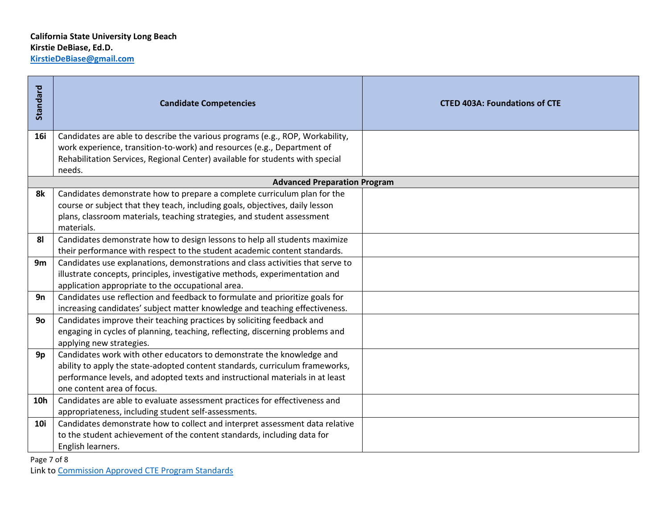| Standard       | <b>Candidate Competencies</b>                                                           | <b>CTED 403A: Foundations of CTE</b> |
|----------------|-----------------------------------------------------------------------------------------|--------------------------------------|
| <b>16i</b>     | Candidates are able to describe the various programs (e.g., ROP, Workability,           |                                      |
|                | work experience, transition-to-work) and resources (e.g., Department of                 |                                      |
|                | Rehabilitation Services, Regional Center) available for students with special<br>needs. |                                      |
|                | <b>Advanced Preparation Program</b>                                                     |                                      |
| 8k             | Candidates demonstrate how to prepare a complete curriculum plan for the                |                                      |
|                | course or subject that they teach, including goals, objectives, daily lesson            |                                      |
|                | plans, classroom materials, teaching strategies, and student assessment                 |                                      |
|                | materials.                                                                              |                                      |
| 8 <sub>l</sub> | Candidates demonstrate how to design lessons to help all students maximize              |                                      |
|                | their performance with respect to the student academic content standards.               |                                      |
| 9m             | Candidates use explanations, demonstrations and class activities that serve to          |                                      |
|                | illustrate concepts, principles, investigative methods, experimentation and             |                                      |
|                | application appropriate to the occupational area.                                       |                                      |
| 9n             | Candidates use reflection and feedback to formulate and prioritize goals for            |                                      |
|                | increasing candidates' subject matter knowledge and teaching effectiveness.             |                                      |
| 90             | Candidates improve their teaching practices by soliciting feedback and                  |                                      |
|                | engaging in cycles of planning, teaching, reflecting, discerning problems and           |                                      |
|                | applying new strategies.                                                                |                                      |
| 9p             | Candidates work with other educators to demonstrate the knowledge and                   |                                      |
|                | ability to apply the state-adopted content standards, curriculum frameworks,            |                                      |
|                | performance levels, and adopted texts and instructional materials in at least           |                                      |
|                | one content area of focus.                                                              |                                      |
| 10h            | Candidates are able to evaluate assessment practices for effectiveness and              |                                      |
|                | appropriateness, including student self-assessments.                                    |                                      |
| <b>10i</b>     | Candidates demonstrate how to collect and interpret assessment data relative            |                                      |
|                | to the student achievement of the content standards, including data for                 |                                      |
|                | English learners.                                                                       |                                      |
| Page 7 of 8    |                                                                                         |                                      |
|                | Link to Commission Approved CTE Program Standards                                       |                                      |